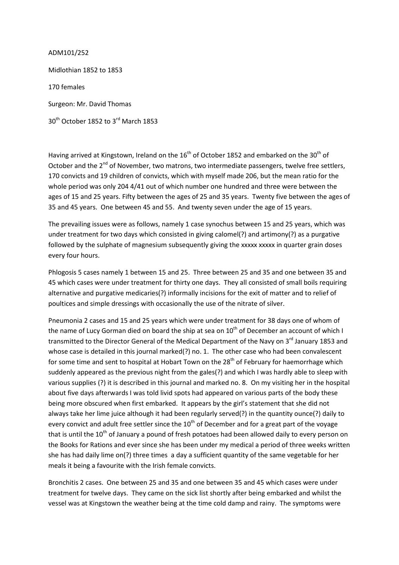ADM101/252

Midlothian 1852 to 1853 170 females Surgeon: Mr. David Thomas 30<sup>th</sup> October 1852 to 3<sup>rd</sup> March 1853

Having arrived at Kingstown, Ireland on the  $16<sup>th</sup>$  of October 1852 and embarked on the 30<sup>th</sup> of October and the 2<sup>nd</sup> of November, two matrons, two intermediate passengers, twelve free settlers, 170 convicts and 19 children of convicts, which with myself made 206, but the mean ratio for the whole period was only 204 4/41 out of which number one hundred and three were between the ages of 15 and 25 years. Fifty between the ages of 25 and 35 years. Twenty five between the ages of 35 and 45 years. One between 45 and 55. And twenty seven under the age of 15 years.

The prevailing issues were as follows, namely 1 case synochus between 15 and 25 years, which was under treatment for two days which consisted in giving calomel(?) and artimony(?) as a purgative followed by the sulphate of magnesium subsequently giving the xxxxx xxxxx in quarter grain doses every four hours.

Phlogosis 5 cases namely 1 between 15 and 25. Three between 25 and 35 and one between 35 and 45 which cases were under treatment for thirty one days. They all consisted of small boils requiring alternative and purgative medicaries(?) informally incisions for the exit of matter and to relief of poultices and simple dressings with occasionally the use of the nitrate of silver.

Pneumonia 2 cases and 15 and 25 years which were under treatment for 38 days one of whom of the name of Lucy Gorman died on board the ship at sea on  $10^{th}$  of December an account of which I transmitted to the Director General of the Medical Department of the Navy on 3<sup>rd</sup> January 1853 and whose case is detailed in this journal marked(?) no. 1. The other case who had been convalescent for some time and sent to hospital at Hobart Town on the 28<sup>th</sup> of February for haemorrhage which suddenly appeared as the previous night from the gales(?) and which I was hardly able to sleep with various supplies (?) it is described in this journal and marked no. 8. On my visiting her in the hospital about five days afterwards I was told livid spots had appeared on various parts of the body these being more obscured when first embarked. It appears by the girl's statement that she did not always take her lime juice although it had been regularly served(?) in the quantity ounce(?) daily to every convict and adult free settler since the  $10<sup>th</sup>$  of December and for a great part of the voyage that is until the  $10<sup>th</sup>$  of January a pound of fresh potatoes had been allowed daily to every person on the Books for Rations and ever since she has been under my medical a period of three weeks written she has had daily lime on(?) three times a day a sufficient quantity of the same vegetable for her meals it being a favourite with the Irish female convicts.

Bronchitis 2 cases. One between 25 and 35 and one between 35 and 45 which cases were under treatment for twelve days. They came on the sick list shortly after being embarked and whilst the vessel was at Kingstown the weather being at the time cold damp and rainy. The symptoms were